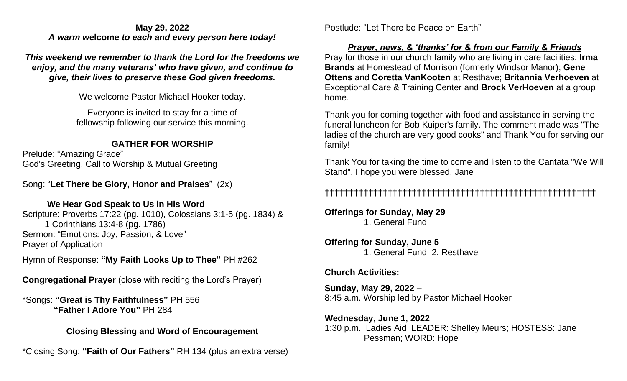#### **May 29, 2022**  *A warm w***elcome** *to each and every person here today!*

*This weekend we remember to thank the Lord for the freedoms we enjoy, and the many veterans' who have given, and continue to give, their lives to preserve these God given freedoms.* 

We welcome Pastor Michael Hooker today.

Everyone is invited to stay for a time of fellowship following our service this morning.

### **GATHER FOR WORSHIP**

Prelude: "Amazing Grace" God's Greeting, Call to Worship & Mutual Greeting

Song: "**Let There be Glory, Honor and Praises**" (2x)

### **We Hear God Speak to Us in His Word**

Scripture: Proverbs 17:22 (pg. 1010), Colossians 3:1-5 (pg. 1834) & 1 Corinthians 13:4-8 (pg. 1786) Sermon: "Emotions: Joy, Passion, & Love" Prayer of Application

Hymn of Response: **"My Faith Looks Up to Thee"** PH #262

**Congregational Prayer** (close with reciting the Lord's Prayer)

\*Songs: **"Great is Thy Faithfulness"** PH 556  **"Father I Adore You"** PH 284 

### **Closing Blessing and Word of Encouragement**

\*Closing Song: **"Faith of Our Fathers"** RH 134 (plus an extra verse)

Postlude: "Let There be Peace on Earth"

### *Prayer, news, & 'thanks' for & from our Family & Friends*

Pray for those in our church family who are living in care facilities: **Irma Brands** at Homestead of Morrison (formerly Windsor Manor); **Gene Ottens** and **Coretta VanKooten** at Resthave; **Britannia Verhoeven** at Exceptional Care & Training Center and **Brock VerHoeven** at a group home.

Thank you for coming together with food and assistance in serving the funeral luncheon for Bob Kuiper's family. The comment made was "The ladies of the church are very good cooks" and Thank You for serving our family!

Thank You for taking the time to come and listen to the Cantata "We Will Stand". I hope you were blessed. Jane

## ††††††††††††††††††††††††††††††††††††††††††††††††††††††††

**Offerings for Sunday, May 29** 1. General Fund

#### **Offering for Sunday, June 5** 1. General Fund 2. Resthave

### **Church Activities:**

**Sunday, May 29, 2022 –** 8:45 a.m. Worship led by Pastor Michael Hooker

#### **Wednesday, June 1, 2022** 1:30 p.m. Ladies Aid LEADER: Shelley Meurs; HOSTESS: Jane Pessman; WORD: Hope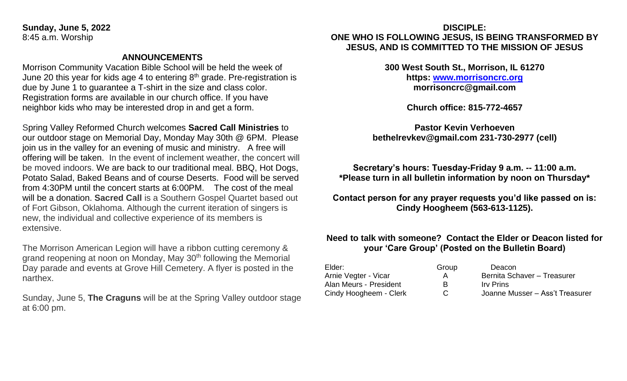**Sunday, June 5, 2022** 8:45 a.m. Worship

#### **ANNOUNCEMENTS**

Morrison Community Vacation Bible School will be held the week of June 20 this year for kids age 4 to entering  $8<sup>th</sup>$  grade. Pre-registration is due by June 1 to guarantee a T-shirt in the size and class color. Registration forms are available in our church office. If you have neighbor kids who may be interested drop in and get a form.

Spring Valley Reformed Church welcomes **Sacred Call Ministries** to our outdoor stage on Memorial Day, Monday May 30th @ 6PM. Please join us in the valley for an evening of music and ministry. A free will offering will be taken. In the event of inclement weather, the concert will be moved indoors. We are back to our traditional meal. BBQ, Hot Dogs, Potato Salad, Baked Beans and of course Deserts. Food will be served from 4:30PM until the concert starts at 6:00PM. The cost of the meal will be a donation. **Sacred Call** is a Southern Gospel Quartet based out of Fort Gibson, Oklahoma. Although the current iteration of singers is new, the individual and collective experience of its members is extensive.

The Morrison American Legion will have a ribbon cutting ceremony & grand reopening at noon on Monday, May 30<sup>th</sup> following the Memorial Day parade and events at Grove Hill Cemetery. A flyer is posted in the narthex.

Sunday, June 5, **The Craguns** will be at the Spring Valley outdoor stage at 6:00 pm.

#### **DISCIPLE: ONE WHO IS FOLLOWING JESUS, IS BEING TRANSFORMED BY JESUS, AND IS COMMITTED TO THE MISSION OF JESUS**

**300 West South St., Morrison, IL 61270 https: [www.morrisoncrc.org](http://www.morrisoncrc.org/) morrisoncrc@gmail.com**

**Church office: 815-772-4657**

**Pastor Kevin Verhoeven bethelrevkev@gmail.com 231-730-2977 (cell)**

**Secretary's hours: Tuesday-Friday 9 a.m. -- 11:00 a.m. \*Please turn in all bulletin information by noon on Thursday\***

**Contact person for any prayer requests you'd like passed on is: Cindy Hoogheem (563-613-1125).**

#### **Need to talk with someone? Contact the Elder or Deacon listed for your 'Care Group' (Posted on the Bulletin Board)**

| Elder:                 | Group | Deacon                          |
|------------------------|-------|---------------------------------|
| Arnie Vegter - Vicar   | A     | Bernita Schaver - Treasurer     |
| Alan Meurs - President | R     | <b>Irv</b> Prins                |
| Cindy Hoogheem - Clerk | C.    | Joanne Musser - Ass't Treasurer |